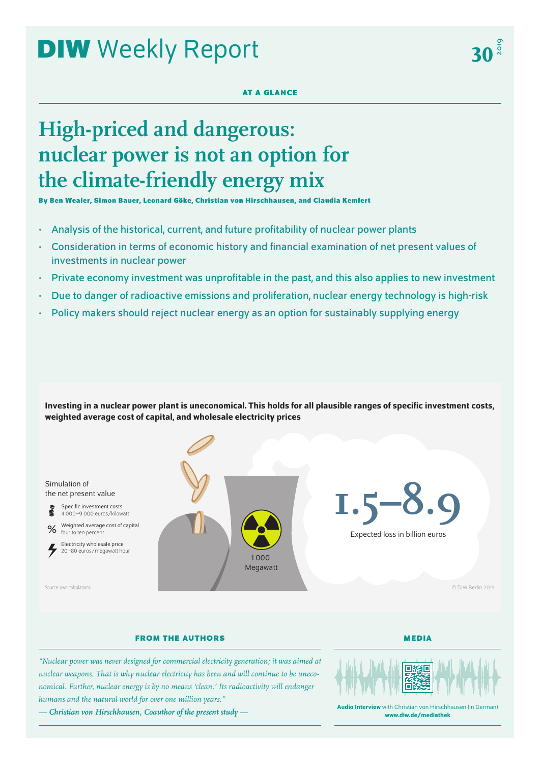# **DIW** Weekly Report

## **AT A GLANCE**

## **High-priced and dangerous: nuclear power is not an option for the climate-friendly energy mix**

**By Ben Wealer, Simon Bauer, Leonard Göke, Christian von Hirschhausen, and Claudia Kemfert**

- Analysis of the historical, current, and future profitability of nuclear power plants
- Consideration in terms of economic history and financial examination of net present values of investments in nuclear power
- Private economy investment was unprofitable in the past, and this also applies to new investment
- Due to danger of radioactive emissions and proliferation, nuclear energy technology is high-risk
- Policy makers should reject nuclear energy as an option for sustainably supplying energy

Investing in a nuclear power plant is uneconomical. This holds for all plausible ranges of specific investment costs, weighted average cost of capital, and wholesale electricity prices



## **FROM THE AUTHORS**

**MEDIA**

*"Nuclear power was never designed for commercial electricity generation; it was aimed at nuclear weapons. That is why nuclear electricity has been and will continue to be uneconomical. Further, nuclear energy is by no means 'clean.' Its radioactivity will endanger humans and the natural world for over one million years."*

*— Christian von Hirschhausen, Coauthor of the present study —*



Audio Interview with Christian von Hirschhausen (in German) [www.diw.de/mediathek](http://www.diw.de/mediathek)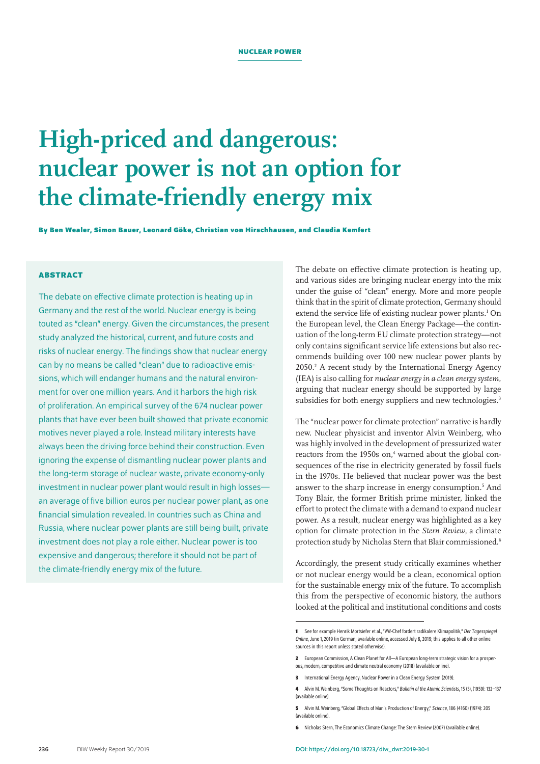## **High-priced and dangerous: nuclear power is not an option for the climate-friendly energy mix**

**By Ben Wealer, Simon Bauer, Leonard Göke, Christian von Hirschhausen, and Claudia Kemfert**

## **ABSTRACT**

The debate on effective climate protection is heating up in Germany and the rest of the world. Nuclear energy is being touted as "clean" energy. Given the circumstances, the present study analyzed the historical, current, and future costs and risks of nuclear energy. The findings show that nuclear energy can by no means be called "clean" due to radioactive emissions, which will endanger humans and the natural environment for over one million years. And it harbors the high risk of proliferation. An empirical survey of the 674 nuclear power plants that have ever been built showed that private economic motives never played a role. Instead military interests have always been the driving force behind their construction. Even ignoring the expense of dismantling nuclear power plants and the long-term storage of nuclear waste, private economy-only investment in nuclear power plant would result in high losses an average of five billion euros per nuclear power plant, as one financial simulation revealed. In countries such as China and Russia, where nuclear power plants are still being built, private investment does not play a role either. Nuclear power is too expensive and dangerous; therefore it should not be part of the climate-friendly energy mix of the future.

The debate on effective climate protection is heating up, and various sides are bringing nuclear energy into the mix under the guise of "clean" energy. More and more people think that in the spirit of climate protection, Germany should extend the service life of existing nuclear power plants.<sup>1</sup> On the European level, the Clean Energy Package—the continuation of the long-term EU climate protection strategy—not only contains significant service life extensions but also recommends building over 100 new nuclear power plants by 2050.2 A recent study by the International Energy Agency (IEA) is also calling for *nuclear energy in a clean energy system*, arguing that nuclear energy should be supported by large subsidies for both energy suppliers and new technologies.<sup>3</sup>

The "nuclear power for climate protection" narrative is hardly new. Nuclear physicist and inventor Alvin Weinberg, who was highly involved in the development of pressurized water reactors from the 1950s on,<sup>4</sup> warned about the global consequences of the rise in electricity generated by fossil fuels in the 1970s. He believed that nuclear power was the best answer to the sharp increase in energy consumption.<sup>5</sup> And Tony Blair, the former British prime minister, linked the effort to protect the climate with a demand to expand nuclear power. As a result, nuclear energy was highlighted as a key option for climate protection in the *Stern Review*, a climate protection study by Nicholas Stern that Blair commissioned.6

Accordingly, the present study critically examines whether or not nuclear energy would be a clean, economical option for the sustainable energy mix of the future. To accomplish this from the perspective of economic history, the authors looked at the political and institutional conditions and costs

**3** International Energy Agency, Nuclear Power in a Clean Energy System (2019).

**6** Nicholas Stern, The Economics Climate Change: The Stern Review (2007) ([available online](https://doi.org/10.1017/CBO9780511817434)).

**<sup>1</sup>** See for example Henrik Mortsiefer etal., "VW-Chef fordert radikalere Klimapolitik," *Der Tagesspiegel Online*, June 1, 2019 (in German; [available online](https://www.tagesspiegel.de/wirtschaft/an-den-grossen-hebeln-ansetzen-vw-chef-fordert-radikalere-klimapolitik/24410614.html), accessed July 8, 2019; this applies to all other online sources in this report unless stated otherwise).

**<sup>2</sup>** European Commission, A Clean Planet for All—A European long-term strategic vision for a prosperous, modern, competitive and climate neutral economy (2018) [\(available online\)](https://ec.europa.eu/transparency/regdoc/rep/1/2018/EN/COM-2018-773-F1-EN-MAIN-PART-1.PDF).

**<sup>4</sup>** Alvin M. Weinberg, "Some Thoughts on Reactors," *Bulletin of the Atomic Scientists*, 15 (3), (1959): 132–137 [\(available online](https://doi.org/10.1080/00963402.1959.11453944)).

**<sup>5</sup>** Alvin M. Weinberg, "Global Effects of Man's Production of Energy," *Science*, 186 (4160) (1974): 205 [\(available online](https://doi.org/10.1126/science.186.4160.205)).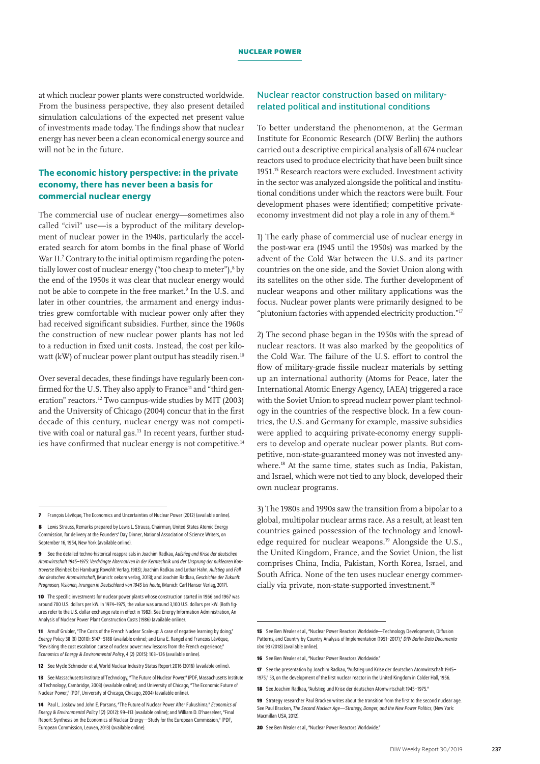at which nuclear power plants were constructed worldwide. From the business perspective, they also present detailed simulation calculations of the expected net present value of investments made today. The findings show that nuclear energy has never been a clean economical energy source and will not be in the future.

## The economic history perspective: in the private economy, there has never been a basis for commercial nuclear energy

The commercial use of nuclear energy—sometimes also called "civil" use—is a byproduct of the military development of nuclear power in the 1940s, particularly the accelerated search for atom bombs in the final phase of World War II.<sup>7</sup> Contrary to the initial optimism regarding the potentially lower cost of nuclear energy ("too cheap to meter"),<sup>8</sup> by the end of the 1950s it was clear that nuclear energy would not be able to compete in the free market.<sup>9</sup> In the U.S. and later in other countries, the armament and energy industries grew comfortable with nuclear power only after they had received significant subsidies. Further, since the 1960s the construction of new nuclear power plants has not led to a reduction in fixed unit costs. Instead, the cost per kilowatt (kW) of nuclear power plant output has steadily risen.<sup>10</sup>

Over several decades, these findings have regularly been confirmed for the U.S. They also apply to France<sup>11</sup> and "third generation" reactors.12 Two campus-wide studies by MIT (2003) and the University of Chicago (2004) concur that in the first decade of this century, nuclear energy was not competitive with coal or natural gas.<sup>13</sup> In recent years, further studies have confirmed that nuclear energy is not competitive.<sup>14</sup>

**10** The specific investments for nuclear power plants whose construction started in 1966 and 1967 was around 700 U.S. dollars per kW. In 1974–1975, the value was around 3,100 U.S. dollars per kW. (Both figures refer to the U.S. dollar exchange rate in effect in 1982). See Energy Information Administration, An Analysis of Nuclear Power Plant Construction Costs (1986) ([available online\)](https://www.osti.gov/servlets/purl/6071600).

**11** Arnulf Grubler, "The Costs of the French Nuclear Scale-up: A case of negative learning by doing," *Energy Policy* 38 (9) (2010): 5147–5188 [\(available online](https://doi.org/10.1016/j.enpol.2010.05.003)); and Lina E. Rangel and Francois Lévêque, "Revisiting the cost escalation curse of nuclear power: new lessons from the French experience," *Economics of Energy & Environmental Policy*, 4 (2) (2015): 103–126 ([available online](https://doi.org/10.5547/2160-5890.4.2.lran)).

**13** See Massachusetts Institute of Technology, "The Future of Nuclear Power," (PDF, Massachusetts Institute of Technology, Cambridge, 2003) ([available online](https://web.mit.edu/nuclearpower/pdf/nuclearpower-full.pdf)); and University of Chicago, "The Economic Future of Nuclear Power," (PDF, University of Chicago, Chicago, 2004) [\(available online\)](https://www.nrc.gov/docs/ML1219/ML12192A420.pdf).

## Nuclear reactor construction based on militaryrelated political and institutional conditions

To better understand the phenomenon, at the German Institute for Economic Research (DIW Berlin) the authors carried out a descriptive empirical analysis of all 674 nuclear reactors used to produce electricity that have been built since 1951.15 Research reactors were excluded. Investment activity in the sector was analyzed alongside the political and institutional conditions under which the reactors were built. Four development phases were identified; competitive privateeconomy investment did not play a role in any of them.16

1) The early phase of commercial use of nuclear energy in the post-war era (1945 until the 1950s) was marked by the advent of the Cold War between the U.S. and its partner countries on the one side, and the Soviet Union along with its satellites on the other side. The further development of nuclear weapons and other military applications was the focus. Nuclear power plants were primarily designed to be "plutonium factories with appended electricity production."17

2) The second phase began in the 1950s with the spread of nuclear reactors. It was also marked by the geopolitics of the Cold War. The failure of the U.S. effort to control the flow of military-grade fissile nuclear materials by setting up an international authority (Atoms for Peace, later the International Atomic Energy Agency, IAEA) triggered a race with the Soviet Union to spread nuclear power plant technology in the countries of the respective block. In a few countries, the U.S. and Germany for example, massive subsidies were applied to acquiring private-economy energy suppliers to develop and operate nuclear power plants. But competitive, non-state-guaranteed money was not invested anywhere.<sup>18</sup> At the same time, states such as India, Pakistan, and Israel, which were not tied to any block, developed their own nuclear programs.

3) The 1980s and 1990s saw the transition from a bipolar to a global, multipolar nuclear arms race. As a result, at least ten countries gained possession of the technology and knowledge required for nuclear weapons.19 Alongside the U.S., the United Kingdom, France, and the Soviet Union, the list comprises China, India, Pakistan, North Korea, Israel, and South Africa. None of the ten uses nuclear energy commercially via private, non-state-supported investment.<sup>20</sup>

**18** See Joachim Radkau, "Aufstieg und Krise der deutschen Atomwirtschaft 1945–1975."

20 See Ben Wealer et al. "Nuclear Power Reactors Worldwide."

**<sup>7</sup>** François Lévêque, The Economics and Uncertainties of Nuclear Power (2012) ([available online](https://doi.org/10.1017/CBO9781316095782)).

**<sup>8</sup>** Lewis Strauss, Remarks prepared by Lewis L. Strauss, Chairman, United States Atomic Energy Commission, for delivery at the Founders' Day Dinner, National Association of Science Writers, on September 16, 1954, New York [\(available online\)](https://www.nrc.gov/docs/ML1613/ML16131A120.pdf).

**<sup>9</sup>** See the detailed techno-historical reappraisals in Joachim Radkau, *Aufstieg und Krise der deutschen Atomwirtschaft 1945–1975: Verdrängte Alternativen in der Kerntechnik und der Ursprung der nuklearen Kontroverse* (Reinbek bei Hamburg: Rowohlt Verlag, 1983); Joachim Radkau and Lothar Hahn, *Aufstieg und Fall der deutschen Atomwirtschaft*, (Munich: oekom verlag, 2013); and Joachim Radkau, *Geschichte der Zukunft: Prognosen, Visionen, Irrungen in Deutschland von 1945 bis heute*, (Munich: Carl Hanser Verlag, 2017).

**<sup>12</sup>** See Mycle Schneider et al, World Nuclear Industry Status Report 2016 (2016) [\(available online\)](https://www.worldnuclearreport.org/IMG/pdf/20160713msc-wnisr2016v2-lr.pdf).

**<sup>14</sup>** Paul L. Joskow and John E. Parsons, "The Future of Nuclear Power After Fukushima," *Economics of Energy & Environmental Policy* 1(2) (2012): 99–113 ([available online](https://doi.org/10.5547/2160-5890.1.2.7)); and William D. D'haeseleer, "Final Report: Synthesis on the Economics of Nuclear Energy—Study for the European Commission," (PDF, European Commission, Leuven, 2013) [\(available online\)](https://www.mech.kuleuven.be/en/tme/research/energy_environment/Pdf/wpen2013-14.pdf).

<sup>15</sup> See Ben Wealer et al., "Nuclear Power Reactors Worldwide—Technology Developments, Diffusion Patterns, and Country-by-Country Analysis of Implementation (1951–2017)," *DIW Berlin Data Documentation* 93 (2018) ([available online](https://www.diw.de/documents/publikationen/73/diw_01.c.583365.de/diw_datadoc_2018-093.pdf)).

**<sup>16</sup>** See Ben Wealer et al. "Nuclear Power Reactors Worldwide."

**<sup>17</sup>** See the presentation by Joachim Radkau, "Aufstieg und Krise der deutschen Atomwirtschaft 1945– 1975," 53, on the development of the first nuclear reactor in the United Kingdom in Calder Hall, 1956.

**<sup>19</sup>** Strategy researcher Paul Bracken writes about the transition from the first to the second nuclear age See Paul Bracken, *The Second Nuclear Age—Strategy, Danger, and the New Power Politics*, (New York: Macmillan USA, 2012).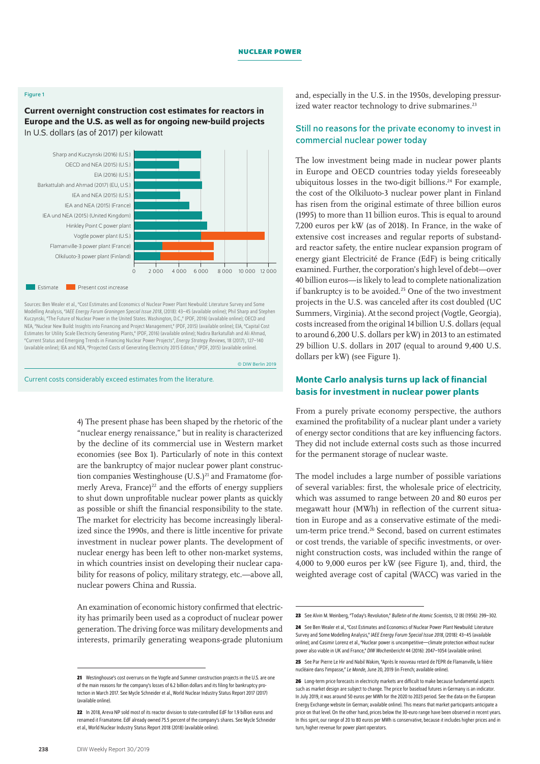#### Figure 1

Current overnight construction cost estimates for reactors in Europe and the U.S. as well as for ongoing new-build projects In U.S. dollars (as of 2017) per kilowatt



Sources: Ben Wealer et al., "Cost Estimates and Economics of Nuclear Power Plant Newbuild: Literature Survey and Some Modelling Analysis, "*IAEE Energy Forum Groningen Special Issue 2018*, (2018): 43–45 ([available online\)](https://www.iaee.org/en/publications/newsletterdl.aspx?id=767); Phil Sharp and Stephen Kuczynski, "The Future of Nuclear Power in the United States. Washington, D.C.," (PDF, 2016) ([available online](https://assets.aspeninstitute.org/content/uploads/2017/02/2016-Nuclear-Energy-Forum-1-30-17.pdf?_ga=2.102044545.1850418706.1563309934-307243212.1563309934)); OECD and NEA, "Nuclear New Build: Insights into Financing and Project Management," (PDF, 2015) [\(available online\)](https://www.oecd-nea.org/ndd/pubs/2015/7195-nn-build-2015.pdf); EIA, "Capital Cost Estimates for Utility Scale Electricity Generating Plants," (PDF, 2016) ([available online](https://www.eia.gov/analysis/studies/powerplants/capitalcost/pdf/capcost_assumption.pdf)); Nadira Barkatullah and Ali Ahmad, "Current Status and Emerging Trends in Financing Nuclear Power Projects", *Energy Strategy Reviews,* 18 (2017):, 127–140 [\(available online](https://doi.org/10.1016/j.esr.2017.09.015)); IEA and NEA, "Projected Costs of Generating Electricity 2015 Edition," (PDF, 2015) [\(available online\)](https://www.oecd-nea.org/ndd/pubs/2015/7057-proj-costs-electricity-2015.pdf).

© DIW Berlin 2019

Current costs considerably exceed estimates from the literature.

4) The present phase has been shaped by the rhetoric of the "nuclear energy renaissance," but in reality is characterized by the decline of its commercial use in Western market economies (see Box 1). Particularly of note in this context are the bankruptcy of major nuclear power plant construction companies Westinghouse  $(U.S.)<sup>21</sup>$  and Framatome (formerly Areva, France) $^{22}$  and the efforts of energy suppliers to shut down unprofitable nuclear power plants as quickly as possible or shift the financial responsibility to the state. The market for electricity has become increasingly liberalized since the 1990s, and there is little incentive for private investment in nuclear power plants. The development of nuclear energy has been left to other non-market systems, in which countries insist on developing their nuclear capability for reasons of policy, military strategy, etc.—above all, nuclear powers China and Russia.

An examination of economic history confirmed that electricity has primarily been used as a coproduct of nuclear power generation. The driving force was military developments and interests, primarily generating weapons-grade plutonium and, especially in the U.S. in the 1950s, developing pressurized water reactor technology to drive submarines.<sup>23</sup>

## Still no reasons for the private economy to invest in commercial nuclear power today

The low investment being made in nuclear power plants in Europe and OECD countries today yields foreseeably ubiquitous losses in the two-digit billions.<sup>24</sup> For example, the cost of the Olkiluoto-3 nuclear power plant in Finland has risen from the original estimate of three billion euros (1995) to more than 11 billion euros. This is equal to around 7,200 euros per kW (as of 2018). In France, in the wake of extensive cost increases and regular reports of substandard reactor safety, the entire nuclear expansion program of energy giant Electricité de France (EdF) is being critically examined. Further, the corporation's high level of debt—over 40 billion euros—is likely to lead to complete nationalization if bankruptcy is to be avoided.25 One of the two investment projects in the U.S. was canceled after its cost doubled (UC Summers, Virginia). At the second project (Vogtle, Georgia), costs increased from the original 14 billion U.S. dollars (equal to around 6,200 U.S. dollars per kW) in 2013 to an estimated 29 billion U.S. dollars in 2017 (equal to around 9,400 U.S. dollars per kW) (see Figure 1).

## Monte Carlo analysis turns up lack of financial basis for investment in nuclear power plants

From a purely private economy perspective, the authors examined the profitability of a nuclear plant under a variety of energy sector conditions that are key influencing factors. They did not include external costs such as those incurred for the permanent storage of nuclear waste.

The model includes a large number of possible variations of several variables: first, the wholesale price of electricity, which was assumed to range between 20 and 80 euros per megawatt hour (MWh) in reflection of the current situation in Europe and as a conservative estimate of the medium-term price trend.<sup>26</sup> Second, based on current estimates or cost trends, the variable of specific investments, or overnight construction costs, was included within the range of 4,000 to 9,000 euros per kW (see Figure 1), and, third, the weighted average cost of capital (WACC) was varied in the

<sup>21</sup> Westinghouse's cost overruns on the Vogtle and Summer construction projects in the U.S. are one of the main reasons for the company's losses of 6.2 billion dollars and its filing for bankruptcy protection in March 2017. See Mycle Schneider et al., World Nuclear Industry Status Report 2017 (2017) ([available online](https://www.worldnuclearreport.org/IMG/pdf/20170912wnisr2017-en-lr.pdf)).

**<sup>22</sup>** In 2018, Areva NP sold most of its reactor division to state-controlled EdF for 1.9 billion euros and renamed it Framatome. EdF already owned 75.5 percent of the company's shares. See Mycle Schneider etal., World Nuclear Industry Status Report 2018 (2018) [\(available online\)](https://www.worldnuclearreport.org/IMG/pdf/20180902wnisr2018-hr.pdf).

**<sup>23</sup>** See Alvin M. Weinberg, "Today's Revolution," *Bulletin of the Atomic Scientists*, 12 (8) (1956): 299–302.

**<sup>24</sup>** See Ben Wealer et al., "Cost Estimates and Economics of Nuclear Power Plant Newbuild: Literature Survey and Some Modelling Analysis," *IAEE Energy Forum Special Issue 2018*, (2018): 43–45 [\(available](https://www.iaee.org/en/publications/newsletterdl.aspx?id=767)  [online](https://www.iaee.org/en/publications/newsletterdl.aspx?id=767)); and Casimir Lorenz etal., "Nuclear power is uncompetitive—climate protection without nuclear power also viable in UK and France," *DIW Wochenbericht* 44 (2016): 2047–1054 [\(available online\)](https://www.diw.de/documents/publikationen/73/diw_01.c.546298.de/16-44-1.pdf).

**<sup>25</sup>** See Par Pierre Le Hir and Nabil Wakim, "Après le nouveau retard de l'EPR de Flamanville, la filière nucléaire dans l'impasse," *Le Monde*, June20, 2019 (in French; [available online](https://www.lemonde.fr/economie/article/2019/06/20/apres-le-nouveau-retard-de-flamanville-la-filiere-nucleaire-dans-l-impasse_5479200_3234.html)).

**<sup>26</sup>** Long-term price forecasts in electricity markets are difficult to make because fundamental aspects such as market design are subject to change. The price for baseload futures in Germany is an indicator. In July2019, it was around 50 euros per MWh for the 2020 to 2023 period. See the data on the European Energy Exchange website (in German; [available online](https://www.eex.com/de/marktdaten/strom/futures/phelix-de-futures)). This means that market participants anticipate a price on that level. On the other hand, prices below the 30-euro range have been observed in recent years. In this spirit, our range of 20 to 80 euros per MWh is conservative, because it includes higher prices and in turn, higher revenue for power plant operators.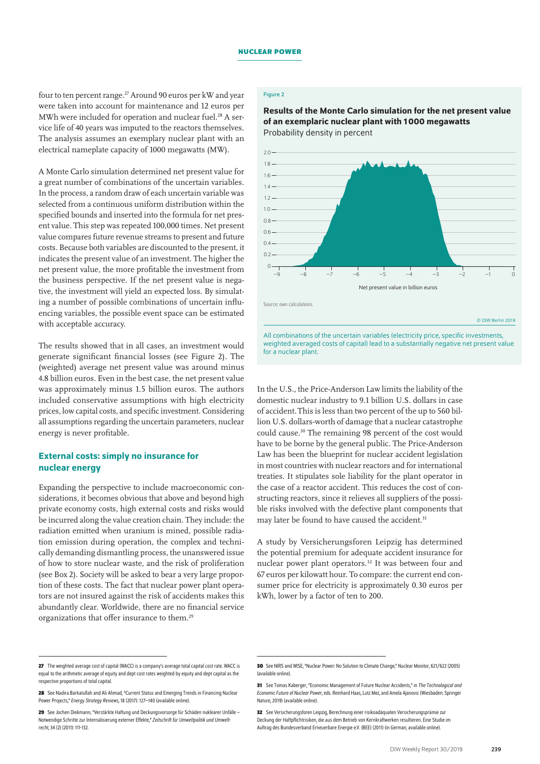four to ten percent range.<sup>27</sup> Around 90 euros per kW and year were taken into account for maintenance and 12 euros per MWh were included for operation and nuclear fuel.<sup>28</sup> A service life of 40 years was imputed to the reactors themselves. The analysis assumes an exemplary nuclear plant with an electrical nameplate capacity of 1000 megawatts (MW).

A Monte Carlo simulation determined net present value for a great number of combinations of the uncertain variables. In the process, a random draw of each uncertain variable was selected from a continuous uniform distribution within the specified bounds and inserted into the formula for net present value. This step was repeated 100,000 times. Net present value compares future revenue streams to present and future costs. Because both variables are discounted to the present, it indicates the present value of an investment. The higher the net present value, the more profitable the investment from the business perspective. If the net present value is negative, the investment will yield an expected loss. By simulating a number of possible combinations of uncertain influencing variables, the possible event space can be estimated with acceptable accuracy.

The results showed that in all cases, an investment would generate significant financial losses (see Figure 2). The (weighted) average net present value was around minus 4.8 billion euros. Even in the best case, the net present value was approximately minus 1.5 billion euros. The authors included conservative assumptions with high electricity prices, low capital costs, and specific investment. Considering all assumptions regarding the uncertain parameters, nuclear energy is never profitable.

## External costs: simply no insurance for nuclear energy

Expanding the perspective to include macroeconomic considerations, it becomes obvious that above and beyond high private economy costs, high external costs and risks would be incurred along the value creation chain. They include: the radiation emitted when uranium is mined, possible radiation emission during operation, the complex and technically demanding dismantling process, the unanswered issue of how to store nuclear waste, and the risk of proliferation (see Box 2). Society will be asked to bear a very large proportion of these costs. The fact that nuclear power plant operators are not insured against the risk of accidents makes this abundantly clear. Worldwide, there are no financial service organizations that offer insurance to them.29

#### Figure 2

Results of the Monte Carlo simulation for the net present value of an exemplaric nuclear plant with 1000 megawatts Probability density in percent



All combinations of the uncertain variables (electricity price, specific investments, weighted averaged costs of capital) lead to a substantially negative net present value for a nuclear plant.

In the U.S., the Price-Anderson Law limits the liability of the domestic nuclear industry to 9.1 billion U.S. dollars in case of accident.This is less than two percent of the up to 560 billion U.S. dollars-worth of damage that a nuclear catastrophe could cause.30 The remaining 98 percent of the cost would have to be borne by the general public. The Price-Anderson Law has been the blueprint for nuclear accident legislation in most countries with nuclear reactors and for international treaties. It stipulates sole liability for the plant operator in the case of a reactor accident. This reduces the cost of constructing reactors, since it relieves all suppliers of the possible risks involved with the defective plant components that may later be found to have caused the accident.<sup>31</sup>

A study by Versicherungsforen Leipzig has determined the potential premium for adequate accident insurance for nuclear power plant operators.<sup>32</sup> It was between four and 67 euros per kilowatt hour. To compare: the current end consumer price for electricity is approximately 0.30 euros per kWh, lower by a factor of ten to 200.

<sup>27</sup> The weighted average cost of capital (WACC) is a company's average total capital cost rate. WACC is equal to the arithmetic average of equity and dept cost rates weighted by equity and dept capital as the respective proportions of total capital.

<sup>28</sup> See Nadira Barkatullah and Ali Ahmad, "Current Status and Emerging Trends in Financing Nuclear Power Projects," *Energy Strategy Reviews*, 18 (2017): 127–140 ([available online](https://doi.org/10.1016/j.esr.2017.09.015)).

**<sup>29</sup>** See Jochen Diekmann, "Verstärkte Haftung und Deckungsvorsorge für Schäden nuklearer Unfälle – Notwendige Schritte zur Internalisierung externer Effekte," *Zeitschrift für Umweltpolitik und Umweltrecht*,34 (2) (2011): 111-132.

**<sup>30</sup>** See NIRS and WISE, "Nuclear Power: No Solution to Climate Change," Nuclear Monitor, 621/622 (2005) ([available online](https://www.nirs.org/wp-content/uploads/mononline/nukesclimatechangereport.pdf)).

**<sup>31</sup>** See Tomas Kaberger, "Economic Management of Future Nuclear Accidents," in *The Technological and Economic Future of Nuclear Power*, eds. Reinhard Haas, Lutz Mez, and Amela Ajanovic (Wiesbaden: Springer Nature, 2019) [\(available online](https://link.springer.com/content/pdf/10.1007%2F978-3-658-25987-7_9.pdf)).

**<sup>32</sup>** See Versicherungsforen Leipzig, Berechnung einer risikoadäquaten Versicherungsprämie zur Deckung der Haftpflichtrisiken, die aus dem Betrieb von Kernkraftwerken resultieren. Eine Studie im Auftrag des Bundesverband Erneuerbare Energie e.V. (BEE) (2011) (in German; [available online\)](http://www.bee-ev.de/fileadmin/Publikationen/Studien/110511_BEE-Studie_Versicherungsforen_KKW.pdf).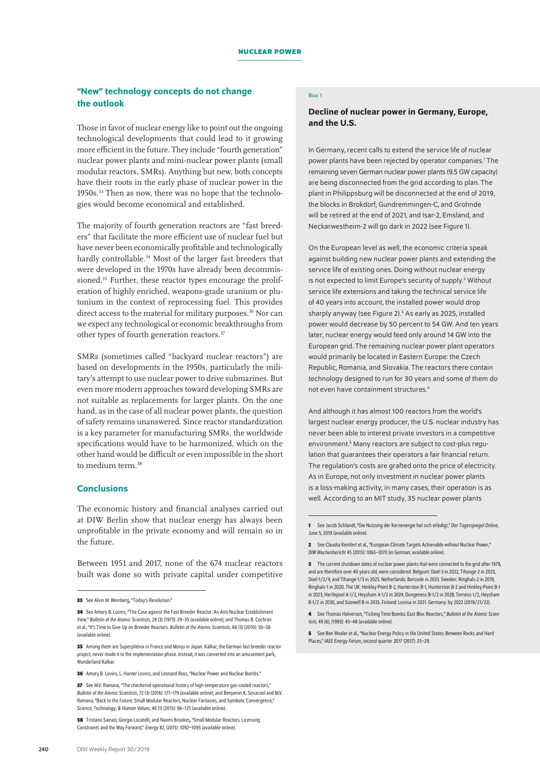## "New" technology concepts do not change the outlook

Those in favor of nuclear energy like to point out the ongoing technological developments that could lead to it growing more efficient in the future. They include "fourth generation" nuclear power plants and mini-nuclear power plants (small modular reactors, SMRs). Anything but new, both concepts have their roots in the early phase of nuclear power in the 1950s.<sup>33</sup> Then as now, there was no hope that the technologies would become economical and established.

The majority of fourth generation reactors are "fast breeders" that facilitate the more efficient use of nuclear fuel but have never been economically profitable and technologically hardly controllable.<sup>34</sup> Most of the larger fast breeders that were developed in the 1970s have already been decommissioned.<sup>35</sup> Further, these reactor types encourage the proliferation of highly enriched, weapons-grade uranium or plutonium in the context of reprocessing fuel. This provides direct access to the material for military purposes.<sup>36</sup> Nor can we expect any technological or economic breakthroughs from other types of fourth generation reactors.<sup>37</sup>

SMRs (sometimes called "backyard nuclear reactors") are based on developments in the 1950s, particularly the military's attempt to use nuclear power to drive submarines. But even more modern approaches toward developing SMRs are not suitable as replacements for larger plants. On the one hand, as in the case of all nuclear power plants, the question of safety remains unanswered. Since reactor standardization is a key parameter for manufacturing SMRs, the worldwide specifications would have to be harmonized, which on the other hand would be difficult or even impossible in the short to medium term.<sup>38</sup>

#### **Conclusions**

The economic history and financial analyses carried out at DIW Berlin show that nuclear energy has always been unprofitable in the private economy and will remain so in the future.

Between 1951 and 2017, none of the 674 nuclear reactors built was done so with private capital under competitive

#### Box 1

### Decline of nuclear power in Germany, Europe, and the U.S.

In Germany, recent calls to extend the service life of nuclear power plants have been rejected by operator companies.<sup>1</sup> The remaining seven German nuclear power plants (9.5 GW capacity) are being disconnected from the grid according to plan. The plant in Philippsburg will be disconnected at the end of 2019, the blocks in Brokdorf, Gundremmingen-C, and Grohnde will be retired at the end of 2021, and Isar-2, Emsland, and Neckarwestheim-2 will go dark in 2022 (see Figure 1).

On the European level as well, the economic criteria speak against building new nuclear power plants and extending the service life of existing ones. Doing without nuclear energy is not expected to limit Europe's security of supply.<sup>2</sup> Without service life extensions and taking the technical service life of 40 years into account, the installed power would drop sharply anyway (see Figure 2).<sup>3</sup> As early as 2025, installed power would decrease by 50 percent to 54 GW. And ten years later, nuclear energy would feed only around 14 GW into the European grid. The remaining nuclear power plant operators would primarily be located in Eastern Europe: the Czech Republic, Romania, and Slovakia. The reactors there contain technology designed to run for 30 years and some of them do not even have containment structures.4

And although it has almost 100 reactors from the world's largest nuclear energy producer, the U.S. nuclear industry has never been able to interest private investors in a competitive environment.<sup>5</sup> Many reactors are subject to cost-plus regulation that guarantees their operators a fair financial return. The regulation's costs are grafted onto the price of electricity. As in Europe, not only investment in nuclear power plants is a loss-making activity; in many cases, their operation is as well. According to an MIT study, 35 nuclear power plants

**<sup>33</sup>** See Alvin M. Weinberg, "Today's Revolution."

**<sup>34</sup>** See Amory B. Lovins, "The Case against the Fast Breeder Reactor: An Anti-Nuclear Establishment View," *Bulletin of the Atomic Scientists*, 29 (3) (1973): 29–35 [\(available online\)](https://doi.org/10.1080/00963402.1973.11455457); and Thomas B. Cochran etal., "It's Time to Give Up on Breeder Reactors. *Bulletin of the Atomic Scientists*, 66 (3) (2010): 50–56 ([available online](https://doi.org/10.2968/066003007)).

**<sup>35</sup>** Among them are Superphénix in France and Monju in Japan. Kalkar, the German fast breeder reactor project, never made it to the implementation phase. Instead, it was converted into an amusement park, [Wunderland Kalkar](https://www.wunderlandkalkar.eu/de).

**<sup>36</sup>** Amory B. Lovins, L. Hunter Lovins, and Leonard Ross, "Nuclear Power and Nuclear Bombs."

**<sup>37</sup>** See M.V. Ramana, "The checkered operational history of high-temperature gas-cooled reactors," *Bulletin of the Atomic Scientists*, 72 (3) (2016): 171–179 [\(available online\)](https://doi.org/10.1080/00963402.2016.1170395); and Benjamin K. Sovacool and M.V. Ramana, "Back to the Future: Small Modular Reactors, Nuclear Fantasies, and Symbolic Convergence," *Science, Technology, & Human Values*, 40 (1) (2015): 96–125 [\(available online\)](https://doi.org/10.1177/0162243914542350).

**<sup>38</sup>** Tristano Sainati, Giorgio Locatelli, and Naomi Brookes, "Small Modular Reactors: Licensing Constraints and the Way Forward," *Energy 82*, (2015): 1092–1095 [\(available online\)](http://dx.doi.org/10.1016/j.energy.2013.09.010).

**<sup>1</sup>** See Jacob Schlandt, "Die Nutzung der Kernenergie hat sich erledigt," *Der Tagesspiegel Online*, June 5, 2019 [\(available online\)](https://www.tagesspiegel.de/wirtschaft/akw-betreiber-gegen-laengere-laufzeiten-die-nutzung-der-kernenergie-hat-sich-erledigt/24422262.html).

**<sup>2</sup>** See Claudia Kemfert et al., "European Climate Targets Achievable without Nuclear Power," *DIW Wochenbericht* 45 (2015): 1063–1070 (in German; [available online\)](https://www.diw.de/sixcms/detail.php?id=diw_01.c.520073.de).

**<sup>3</sup>** The current shutdown dates of nuclear power plants that were connected to the grid after 1978, and are therefore over 40 years old, were considered. Belgium: Doel-3 in 2022, Tihange-2 in 2023, Doel-1/2/4, and Tihange-1/3 in 2025. Netherlands: Borssele in 2033. Sweden: Ringhals-2 in 2019, Ringhals-1 in 2020. The UK: Hinkley-Point B-2, Hunterston B-1, Hunterston B-2 and Hinkley-Point B-1 in 2023, Hartlepool A-1/2, Heysham A-1/2 in 2024, Dungeness B-1/2 in 2028, Torness-1/2, Heysham B-1/2 in 2030, and Sizewell B in 2035. Finland: Loviisa in 2021. Germany: by 2022 (2019/21/22).

**<sup>4</sup>** See Thomas Halverson, "Ticking Time Bombs: East Bloc Reactors," *Bulletin of the Atomic Scientists*, 49 (6), (1993): 43–48 ([available online\)](https://doi.org/10.1080/00963402.1993.11456372).

**<sup>5</sup>** See Ben Wealer et al., "Nuclear Energy Policy in the United States: Between Rocks and Hard Places," *IAEE Energy Forum*, second quarter 2017 (2017): 25–29.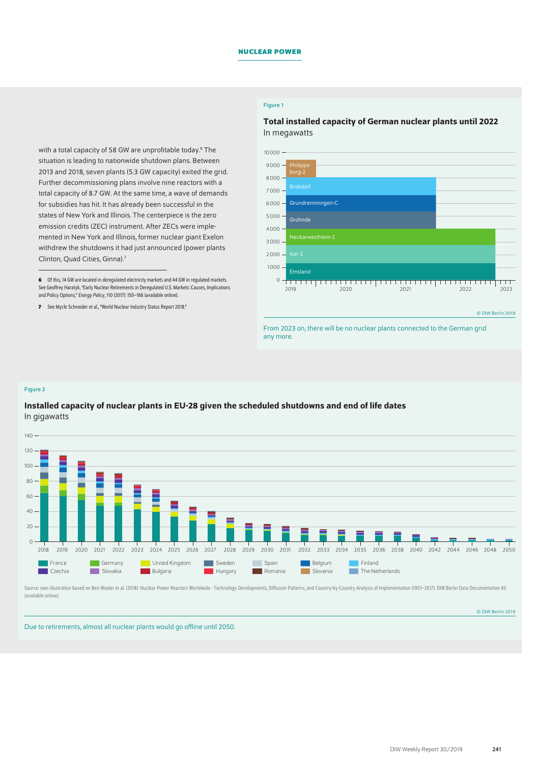#### Figure 1

Total installed capacity of German nuclear plants until 2022 In megawatts



**<sup>6</sup>** Of this, 14 GW are located in deregulated electricity markets and 44 GW in regulated markets. See Geoffrey Haratyk, "Early Nuclear Retirements in Deregulated U.S. Markets: Causes, Implications and Policy Options," *Energy Policy*, 110 (2017): 150–166 ([available online](https://doi.org/10.1016/j.enpol.2017.08.023)).

**7** See Mycle Schneider et al., "World Nuclear Industry Status Report 2018."

#### $10000 9000$ burg-2 8000 Brokdorf 7000  $6000 -$ Grundremmingen-C 5000 Grohnde 4000 Neckarwestheim-2 3000 2000  $1000 -$ Emsland 0 <u> Indonesia ya matana mwaka wa Tanza</u> <u> 1989 - An Bhannaich ann an Dùbhlachd an Dùbhlachd an Dùbhlachd an Dùbhlachd an Dùbhlachd ann an Dùbhlachd an Dùbhlachd ann an Dùbhlachd ann an Dùbhlachd ann an Dùbhlachd an Dùbhlachd ann an Dùbhlachd ann an Dùbhlachd ann</u>  $\overline{\Box}$ 2019 2020 2021 2022 2023

© DIW Berlin 2019

From 2023 on, there will be no nuclear plants connected to the German grid any more.

#### Figure 2

## Installed capacity of nuclear plants in EU-28 given the scheduled shutdowns and end of life dates In gigawatts



Source: own illustration based on Ben Wealer et al. (2018): Nuclear Power Reactors Worldwide - Technology Developments, Diffusion Patterns, and Country-by-Country Analysis of Implementation (1951-2017). DIW Berlin Data Doc [\(available online](https://www.diw.de/documents/publikationen/73/diw_01.c.583365.de/diw_datadoc_2018-093.pdf)).

© DIW Berlin 2019

Due to retirements, almost all nuclear plants would go offline until 2050.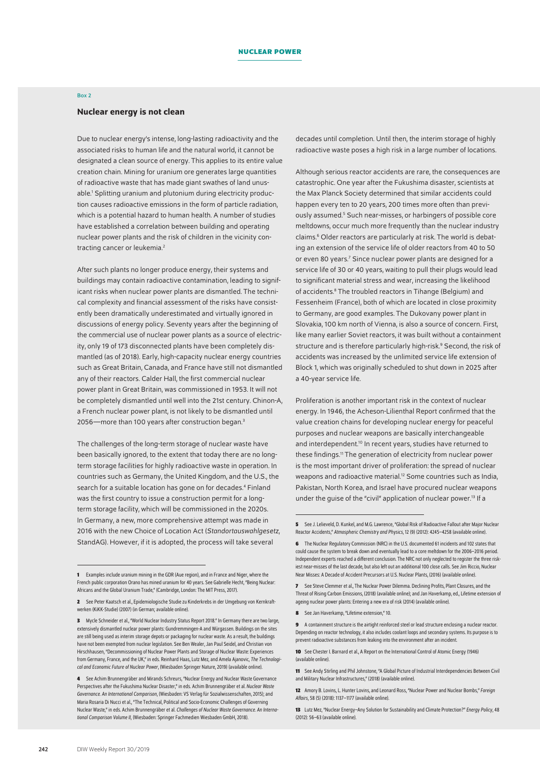#### Box 2

#### Nuclear energy is not clean

Due to nuclear energy's intense, long-lasting radioactivity and the associated risks to human life and the natural world, it cannot be designated a clean source of energy. This applies to its entire value creation chain. Mining for uranium ore generates large quantities of radioactive waste that has made giant swathes of land unusable.1 Splitting uranium and plutonium during electricity production causes radioactive emissions in the form of particle radiation, which is a potential hazard to human health. A number of studies have established a correlation between building and operating nuclear power plants and the risk of children in the vicinity contracting cancer or leukemia.2

After such plants no longer produce energy, their systems and buildings may contain radioactive contamination, leading to significant risks when nuclear power plants are dismantled. The technical complexity and financial assessment of the risks have consistently been dramatically underestimated and virtually ignored in discussions of energy policy. Seventy years after the beginning of the commercial use of nuclear power plants as a source of electricity, only 19 of 173 disconnected plants have been completely dismantled (as of 2018). Early, high-capacity nuclear energy countries such as Great Britain, Canada, and France have still not dismantled any of their reactors. Calder Hall, the first commercial nuclear power plant in Great Britain, was commissioned in 1953. It will not be completely dismantled until well into the 21st century. Chinon-A, a French nuclear power plant, is not likely to be dismantled until 2056—more than 100 years after construction began.<sup>3</sup>

The challenges of the long-term storage of nuclear waste have been basically ignored, to the extent that today there are no longterm storage facilities for highly radioactive waste in operation. In countries such as Germany, the United Kingdom, and the U.S., the search for a suitable location has gone on for decades.<sup>4</sup> Finland was the first country to issue a construction permit for a longterm storage facility, which will be commissioned in the 2020s. In Germany, a new, more comprehensive attempt was made in 2016 with the new Choice of Location Act (*Standortauswahlgesetz*, StandAG). However, if it is adopted, the process will take several

decades until completion. Until then, the interim storage of highly radioactive waste poses a high risk in a large number of locations.

Although serious reactor accidents are rare, the consequences are catastrophic. One year after the Fukushima disaster, scientists at the Max Planck Society determined that similar accidents could happen every ten to 20 years, 200 times more often than previously assumed.<sup>5</sup> Such near-misses, or harbingers of possible core meltdowns, occur much more frequently than the nuclear industry claims.<sup>6</sup> Older reactors are particularly at risk. The world is debating an extension of the service life of older reactors from 40 to 50 or even 80 years.<sup>7</sup> Since nuclear power plants are designed for a service life of 30 or 40 years, waiting to pull their plugs would lead to significant material stress and wear, increasing the likelihood of accidents.<sup>8</sup> The troubled reactors in Tihange (Belgium) and Fessenheim (France), both of which are located in close proximity to Germany, are good examples. The Dukovany power plant in Slovakia, 100 km north of Vienna, is also a source of concern. First, like many earlier Soviet reactors, it was built without a containment structure and is therefore particularly high-risk.<sup>9</sup> Second, the risk of accidents was increased by the unlimited service life extension of Block 1, which was originally scheduled to shut down in 2025 after a 40-year service life.

Proliferation is another important risk in the context of nuclear energy. In 1946, the Acheson-Lilienthal Report confirmed that the value creation chains for developing nuclear energy for peaceful purposes and nuclear weapons are basically interchangeable and interdependent.<sup>10</sup> In recent years, studies have returned to these findings.<sup>11</sup> The generation of electricity from nuclear power is the most important driver of proliferation: the spread of nuclear weapons and radioactive material.<sup>12</sup> Some countries such as India, Pakistan, North Korea, and Israel have procured nuclear weapons under the guise of the "civil" application of nuclear power.<sup>13</sup> If a

**8** See Jan Haverkamp, "Lifetime extension," 10.

**9** A containment structure is the airtight reinforced steel or lead structure enclosing a nuclear reactor. Depending on reactor technology, it also includes coolant loops and secondary systems. Its purpose is to prevent radioactive substances from leaking into the environment after an incident.

**10** See Chester I. Barnard et al., A Report on the International Control of Atomic Energy (1946) [\(available online](https://www.cia.gov/library/readingroom/docs/Report_on_the_International_Control_of_Atomic_Energy_16_Mar_1946.PDF)).

**11** See Andy Stirling and Phil Johnstone, "A Global Picture of Industrial Interdependencies Between Civil and Military Nuclear Infrastructures," (2018) ([available online](https://www.sussex.ac.uk/webteam/gateway/file.php?name=2018-13-swps-stirling-and-johnstone.pdf&site=25)).

**12** Amory B. Lovins, L. Hunter Lovins, and Leonard Ross, "Nuclear Power and Nuclear Bombs," *Foreign Affairs*, 58 (5) (2018): 1137–1177 [\(available online\)](https://www.jstor.org/stable/20040586).

**13** Lutz Mez, "Nuclear Energy–Any Solution for Sustainability and Climate Protection?" *Energy Policy*, 48 (2012): 56–63 [\(available online\)](https://doi.org/10.1016/j.enpol.2012.04.047).

**<sup>1</sup>** Examples include uranium mining in the GDR (Aue region), and in France and Niger, where the French public corporation Orano has mined uranium for 40 years. See Gabrielle Hecht, "Being Nuclear: Africans and the Global Uranium Trade," (Cambridge, London: The MIT Press, 2017).

<sup>2</sup> See Peter Kaatsch et al., Epidemiologische Studie zu Kinderkrebs in der Umgebung von Kernkraftwerken (KiKK-Studie) (2007) (in German; [available online\)](http://nbn-resolving.de/urn:nbn:de:0221-20100317939).

**<sup>3</sup>** Mycle Schneider etal., "World Nuclear Industry Status Report 2018." In Germany there are two large, extensively dismantled nuclear power plants: Gundremmingen-A and Würgassen. Buildings on the sites are still being used as interim storage depots or packaging for nuclear waste. As a result, the buildings have not been exempted from nuclear legislation. See Ben Wealer, Jan Paul Seidel, and Christian von Hirschhausen, "Decommissioning of Nuclear Power Plants and Storage of Nuclear Waste: Experiences from Germany, France, and the UK," in eds. Reinhard Haas, Lutz Mez, and Amela Ajanovic, *The Technological and Economic Future of Nuclear Power*, (Wiesbaden Springer Nature, 2019) ([available online](https://link.springer.com/content/pdf/10.1007%2F978-3-658-25987-7_12.pdf)).

**<sup>4</sup>** See Achim Brunnengräber and Mirands Schreurs, "Nuclear Energy and Nuclear Waste Governance Perspectives after the Fukushima Nuclear Disaster," in eds. Achim Brunnengräber etal. *Nuclear Waste Governance. An International Comparison*, (Wiesbaden: VS Verlag für Sozialwissenschaften, 2015); and Maria Rosaria Di Nucci etal., "The Technical, Political and Socio-Economic Challenges of Governing Nuclear Waste," in eds. Achim Brunnengräber etal. *Challenges of Nuclear Waste Governance. An International Comparison Volume II*, (Wiesbaden: Springer Fachmedien Wiesbaden GmbH, 2018).

**<sup>5</sup>** See J. Lelieveld, D. Kunkel, and M.G. Lawrence, "Global Risk of Radioactive Fallout after Major Nuclear Reactor Accidents," *Atmospheric Chemistry and Physics*, 12 (9) (2012): 4245–4258 ([available online](https://www.atmos-chem-phys.net/12/4245/2012/acp-12-4245-2012.pdf)).

**<sup>6</sup>** The Nuclear Regulatory Commission (NRC) in the U.S. documented 61 incidents and 102 states that could cause the system to break down and eventually lead to a core meltdown for the 2006–2016 period. Independent experts reached a different conclusion. The NRC not only neglected to register the three riskiest near-misses of the last decade, but also left out an additional 100 close calls. See Jim Riccio, Nuclear Near Misses: A Decade of Accident Precursors at U.S. Nuclear Plants, (2016) [\(available online\)](https://www.greenpeace.org/usa/wp-content/uploads/2016/05/nuclear-near-misses-a-decade-of-accidents-at-us-nuclear-energy-power-plants-may-2016-3mb.pdf?f3025c).

**<sup>7</sup>** See Steve Clemmer et al., The Nuclear Power Dilemma. Declining Profits, Plant Closures, and the Threat of Rising Carbon Emissions, (2018) [\(available online\)](https://www.ucsusa.org/sites/default/files/attach/2018/11/Nuclear-Power-Dilemma-full-report.pdf); and Jan Haverkamp, ed., Lifetime extension of ageing nuclear power plants: Entering a new era of risk (2014) ([available online](http://www.greenpeace.nl/Global/nederland/2014/Documenten/Rapport%20Lifetime%20extension%20of%20ageing%20nuclear%20power%20plants.pdf)).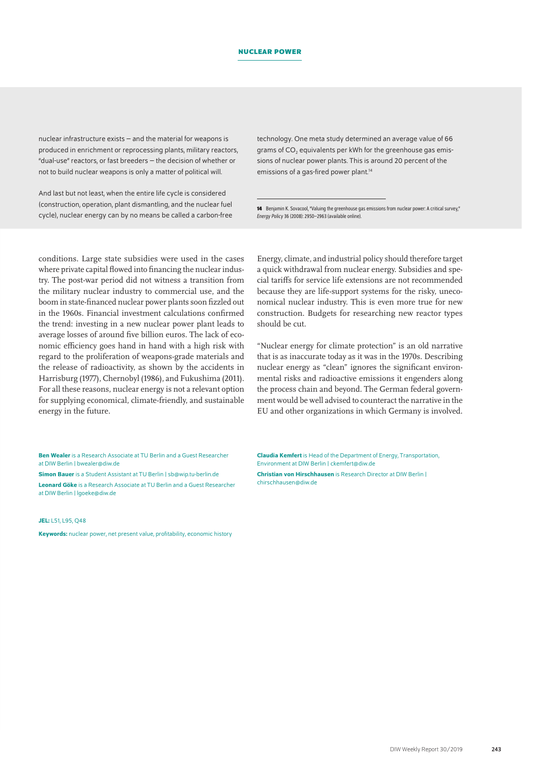nuclear infrastructure exists – and the material for weapons is produced in enrichment or reprocessing plants, military reactors, "dual-use" reactors, or fast breeders – the decision of whether or not to build nuclear weapons is only a matter of political will.

And last but not least, when the entire life cycle is considered (construction, operation, plant dismantling, and the nuclear fuel cycle), nuclear energy can by no means be called a carbon-free technology. One meta study determined an average value of 66 grams of CO<sub>2</sub> equivalents per kWh for the greenhouse gas emissions of nuclear power plants. This is around 20 percent of the emissions of a gas-fired power plant.<sup>14</sup>

**14** Benjamin K. Sovacool, "Valuing the greenhouse gas emissions from nuclear power: A critical survey," *Energy Policy* 36 (2008): 2950–2963 ([available online](https://doi.org/10.1016/j.enpol.2008.04.017)).

conditions. Large state subsidies were used in the cases where private capital flowed into financing the nuclear industry. The post-war period did not witness a transition from the military nuclear industry to commercial use, and the boom in state-financed nuclear power plants soon fizzled out in the 1960s. Financial investment calculations confirmed the trend: investing in a new nuclear power plant leads to average losses of around five billion euros. The lack of economic efficiency goes hand in hand with a high risk with regard to the proliferation of weapons-grade materials and the release of radioactivity, as shown by the accidents in Harrisburg (1977), Chernobyl (1986), and Fukushima (2011). For all these reasons, nuclear energy is not a relevant option for supplying economical, climate-friendly, and sustainable energy in the future.

Energy, climate, and industrial policy should therefore target a quick withdrawal from nuclear energy. Subsidies and special tariffs for service life extensions are not recommended because they are life-support systems for the risky, uneconomical nuclear industry. This is even more true for new construction. Budgets for researching new reactor types should be cut.

"Nuclear energy for climate protection" is an old narrative that is as inaccurate today as it was in the 1970s. Describing nuclear energy as "clean" ignores the significant environmental risks and radioactive emissions it engenders along the process chain and beyond. The German federal government would be well advised to counteract the narrative in the EU and other organizations in which Germany is involved.

Ben Wealer is a Research Associate at TU Berlin and a Guest Researcher at DIW Berlin | [bwealer@diw.de](mailto:bwealer%40diw.de?subject=)

Simon Bauer is a Student Assistant at TU Berlin | [sb@wip.tu-berlin.de](mailto:sb%40wip.tu-berlin.de?subject=)

Leonard Göke is a Research Associate at TU Berlin and a Guest Researcher at DIW Berlin | [lgoeke@diw.de](mailto:lgoeke%40diw.de?subject=)

#### JEL: 151, 195, 048

Keywords: nuclear power, net present value, profitability, economic history

Claudia Kemfert is Head of the Department of Energy, Transportation, Environment at DIW Berlin | [ckemfert@diw.de](mailto:ckemfert%40diw.de?subject=)

Christian von Hirschhausen is Research Director at DIW Berlin | [chirschhausen@diw.de](mailto:chirschhausen%40diw.de?subject=)